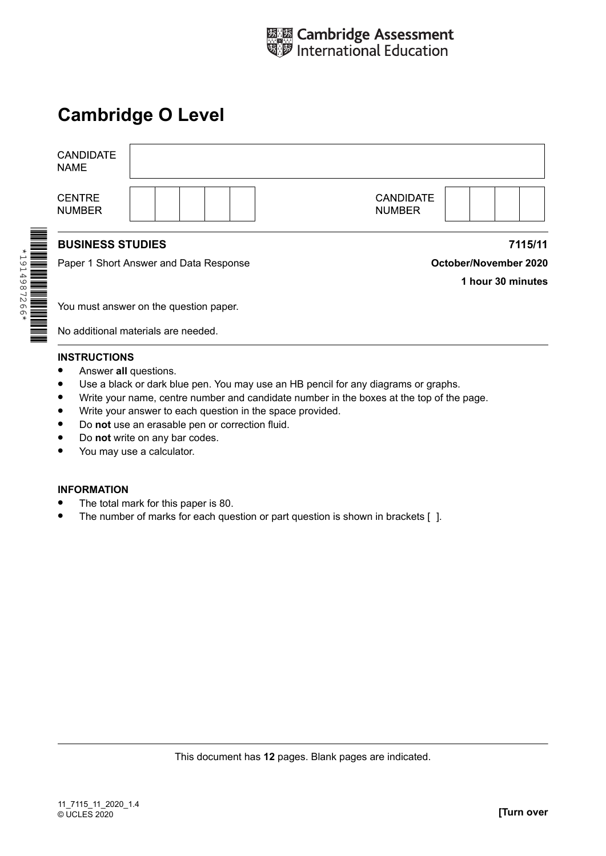

# **Cambridge O Level**

| <b>CANDIDATE</b><br><b>NAME</b> |                                        |                                   |
|---------------------------------|----------------------------------------|-----------------------------------|
| <b>CENTRE</b><br><b>NUMBER</b>  |                                        | <b>CANDIDATE</b><br><b>NUMBER</b> |
| <b>BUSINESS STUDIES</b>         |                                        | 7115/11                           |
|                                 | Paper 1 Short Answer and Data Response | October/November 2020             |
|                                 |                                        | 1 hour 30 minutes                 |

You must answer on the question paper.

No additional materials are needed.

#### **INSTRUCTIONS**

- **•** Answer **all** questions.
- **•** Use a black or dark blue pen. You may use an HB pencil for any diagrams or graphs.
- **•** Write your name, centre number and candidate number in the boxes at the top of the page.
- **•** Write your answer to each question in the space provided.
- **•** Do **not** use an erasable pen or correction fluid.
- **•** Do **not** write on any bar codes.<br>• You may use a calculator
- **•** You may use a calculator.

#### **INFORMATION**

- **•** The total mark for this paper is 80.
- **•** The number of marks for each question or part question is shown in brackets [ ].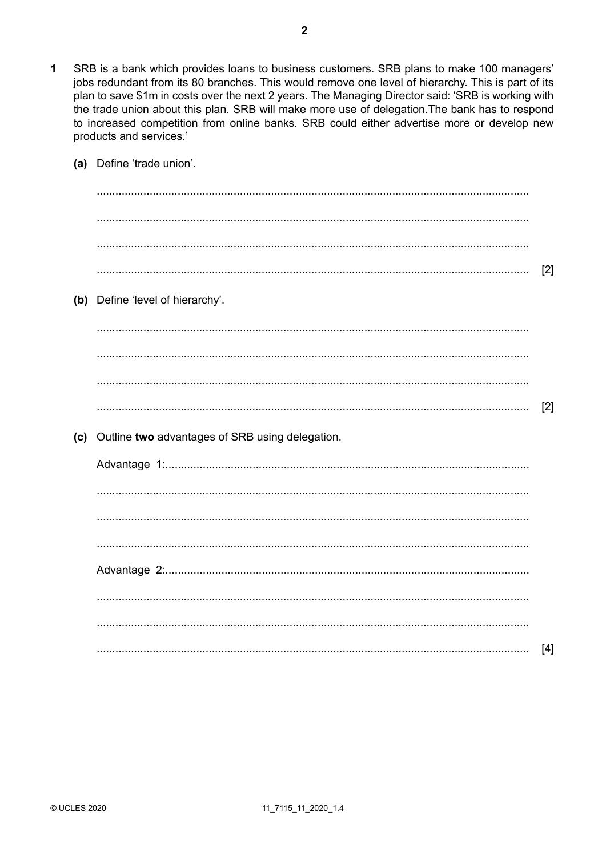$\mathbf 1$ SRB is a bank which provides loans to business customers. SRB plans to make 100 managers' jobs redundant from its 80 branches. This would remove one level of hierarchy. This is part of its plan to save \$1m in costs over the next 2 years. The Managing Director said: 'SRB is working with the trade union about this plan. SRB will make more use of delegation. The bank has to respond to increased competition from online banks. SRB could either advertise more or develop new products and services.'

| (a) Define 'trade union'.                           |       |
|-----------------------------------------------------|-------|
|                                                     |       |
|                                                     |       |
|                                                     |       |
|                                                     | $[2]$ |
| (b) Define 'level of hierarchy'.                    |       |
|                                                     |       |
|                                                     |       |
|                                                     |       |
|                                                     | $[2]$ |
| (c) Outline two advantages of SRB using delegation. |       |
|                                                     |       |
|                                                     |       |
|                                                     |       |
|                                                     |       |
|                                                     |       |
|                                                     |       |
|                                                     |       |
|                                                     | $[4]$ |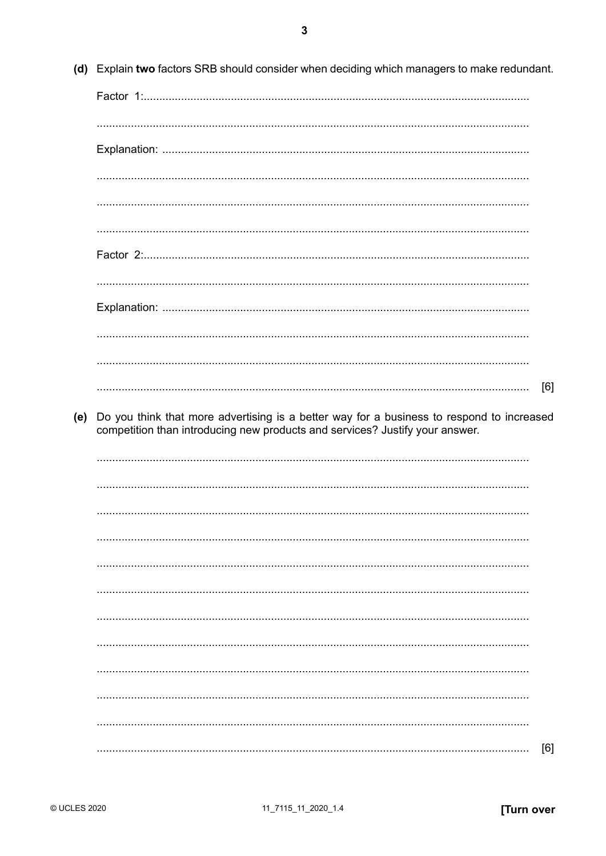| Do you think that more advertising is a better way for a business to respond to increased<br>competition than introducing new products and services? Justify your answer.<br>. | (d) Explain two factors SRB should consider when deciding which managers to make redundant. |
|--------------------------------------------------------------------------------------------------------------------------------------------------------------------------------|---------------------------------------------------------------------------------------------|
|                                                                                                                                                                                |                                                                                             |
|                                                                                                                                                                                |                                                                                             |
|                                                                                                                                                                                |                                                                                             |
|                                                                                                                                                                                |                                                                                             |
|                                                                                                                                                                                |                                                                                             |
|                                                                                                                                                                                |                                                                                             |
|                                                                                                                                                                                |                                                                                             |
|                                                                                                                                                                                |                                                                                             |
|                                                                                                                                                                                |                                                                                             |
|                                                                                                                                                                                |                                                                                             |
|                                                                                                                                                                                |                                                                                             |
|                                                                                                                                                                                |                                                                                             |
|                                                                                                                                                                                |                                                                                             |
|                                                                                                                                                                                |                                                                                             |
|                                                                                                                                                                                |                                                                                             |
|                                                                                                                                                                                |                                                                                             |
|                                                                                                                                                                                |                                                                                             |
|                                                                                                                                                                                |                                                                                             |
|                                                                                                                                                                                |                                                                                             |
|                                                                                                                                                                                |                                                                                             |
|                                                                                                                                                                                |                                                                                             |
|                                                                                                                                                                                |                                                                                             |
|                                                                                                                                                                                |                                                                                             |
|                                                                                                                                                                                |                                                                                             |
|                                                                                                                                                                                |                                                                                             |
|                                                                                                                                                                                |                                                                                             |
|                                                                                                                                                                                |                                                                                             |
|                                                                                                                                                                                |                                                                                             |
|                                                                                                                                                                                |                                                                                             |
|                                                                                                                                                                                |                                                                                             |
|                                                                                                                                                                                |                                                                                             |
|                                                                                                                                                                                |                                                                                             |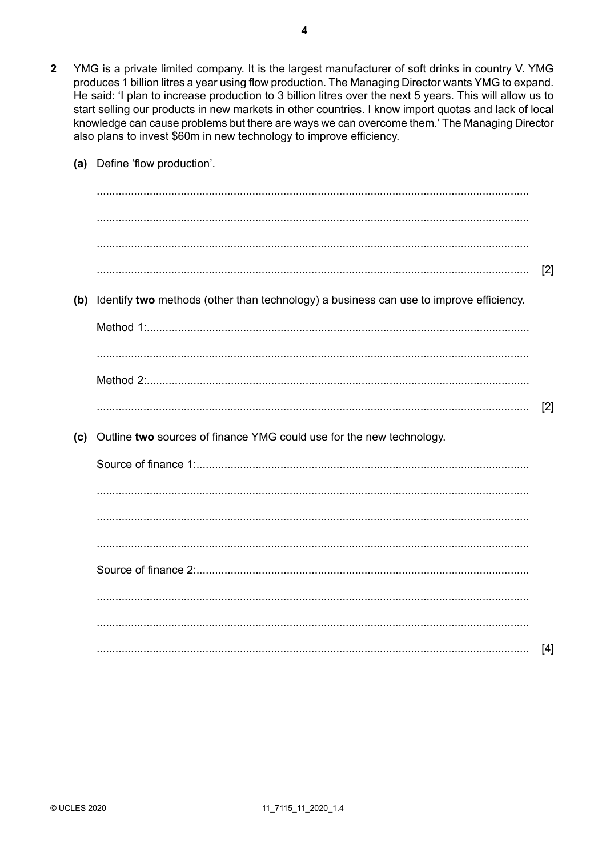- $\overline{2}$ YMG is a private limited company. It is the largest manufacturer of soft drinks in country V. YMG produces 1 billion litres a year using flow production. The Managing Director wants YMG to expand. He said: 'I plan to increase production to 3 billion litres over the next 5 years. This will allow us to start selling our products in new markets in other countries. I know import quotas and lack of local knowledge can cause problems but there are ways we can overcome them.' The Managing Director also plans to invest \$60m in new technology to improve efficiency.
	- (a) Define 'flow production'. (b) Identify two methods (other than technology) a business can use to improve efficiency. (c) Outline two sources of finance YMG could use for the new technology.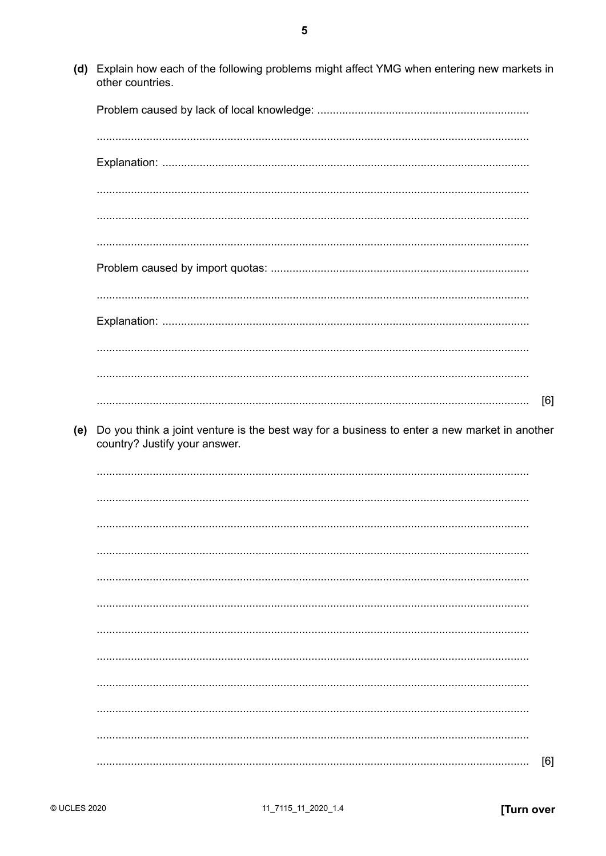(d) Explain how each of the following problems might affect YMG when entering new markets in other countries.

[6] (e) Do you think a joint venture is the best way for a business to enter a new market in another country? Justify your answer.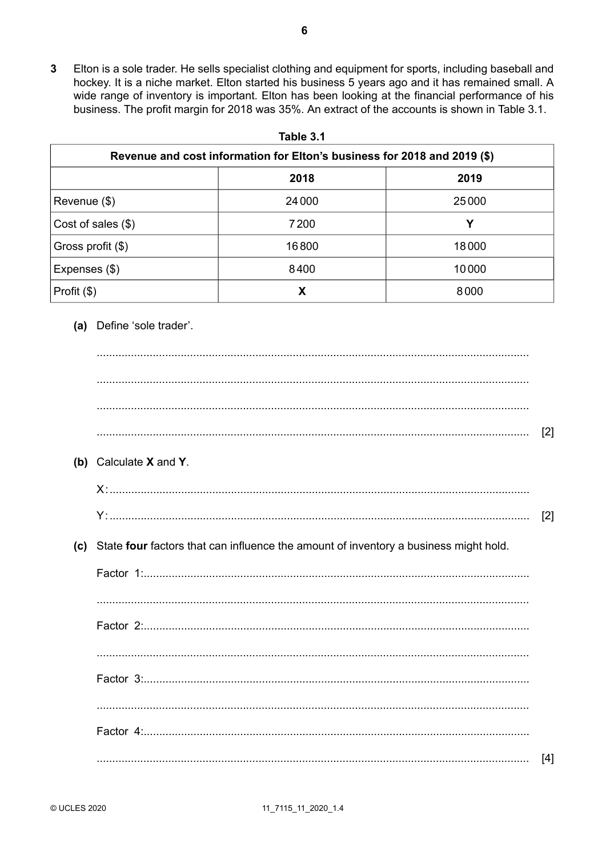wide range of inventory is important. Elton has been looking at the financial performance of his business. The profit margin for 2018 was 35%. An extract of the accounts is shown in Table 3.1.

 $\overline{3}$ 

|                      | Table 3.1                                                                |       |
|----------------------|--------------------------------------------------------------------------|-------|
|                      | Revenue and cost information for Elton's business for 2018 and 2019 (\$) |       |
|                      | 2018                                                                     | 2019  |
| Revenue (\$)         | 24 000                                                                   | 25000 |
| Cost of sales $(\$)$ | 7200                                                                     | Y     |
| Gross profit (\$)    | 16800                                                                    | 18000 |
| Expenses (\$)        | 8400                                                                     | 10000 |
| Profit $(\$)$        |                                                                          | 8000  |

(a) Define 'sole trader'.

|                                                                                          | $\lceil 2 \rceil$ |
|------------------------------------------------------------------------------------------|-------------------|
| (b) Calculate X and Y.                                                                   |                   |
|                                                                                          |                   |
|                                                                                          | $[2]$             |
| (c) State four factors that can influence the amount of inventory a business might hold. |                   |
|                                                                                          |                   |
|                                                                                          |                   |
|                                                                                          |                   |
|                                                                                          |                   |
|                                                                                          |                   |
|                                                                                          |                   |
|                                                                                          |                   |
|                                                                                          | [4]               |

Elton is a sole trader. He sells specialist clothing and equipment for sports, including baseball and hockey. It is a niche market. Elton started his business 5 years ago and it has remained small. A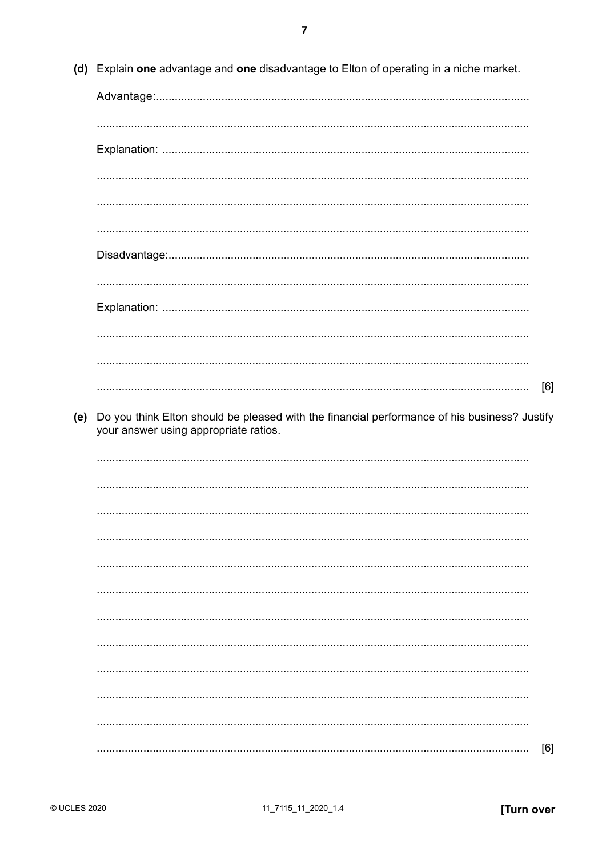| (d) | Explain one advantage and one disadvantage to Elton of operating in a niche market.          |     |
|-----|----------------------------------------------------------------------------------------------|-----|
|     |                                                                                              |     |
|     |                                                                                              |     |
|     |                                                                                              |     |
|     |                                                                                              |     |
|     |                                                                                              |     |
|     |                                                                                              |     |
|     |                                                                                              |     |
|     |                                                                                              | [6] |
| (e) | Do you think Elton should be pleased with the financial performance of his business? Justify |     |
|     | your answer using appropriate ratios.                                                        |     |
|     |                                                                                              |     |
|     |                                                                                              |     |
|     |                                                                                              |     |
|     |                                                                                              |     |
|     |                                                                                              |     |
|     |                                                                                              |     |
|     |                                                                                              |     |
|     |                                                                                              | [6] |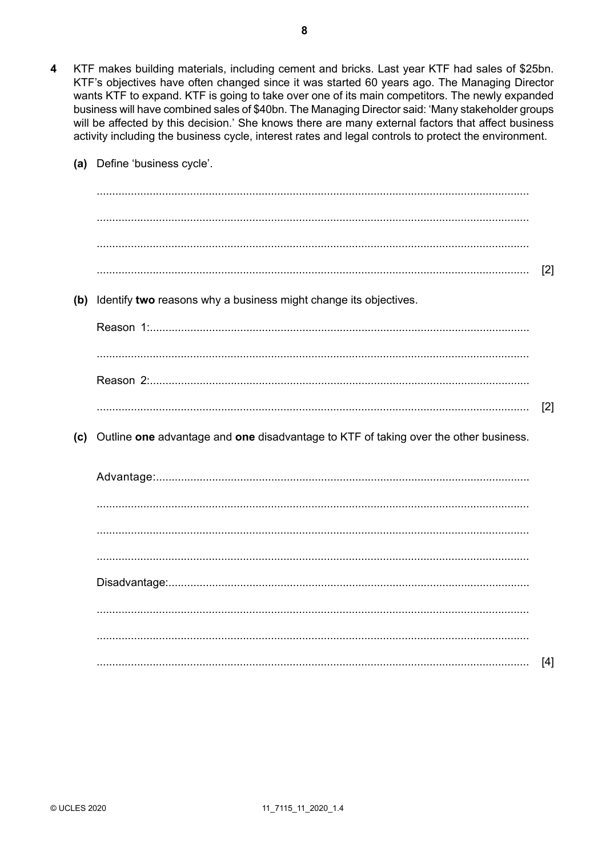$\overline{\mathbf{4}}$ KTF makes building materials, including cement and bricks. Last year KTF had sales of \$25bn. KTF's objectives have often changed since it was started 60 years ago. The Managing Director wants KTF to expand. KTF is going to take over one of its main competitors. The newly expanded business will have combined sales of \$40bn. The Managing Director said: 'Many stakeholder groups will be affected by this decision.' She knows there are many external factors that affect business activity including the business cycle, interest rates and legal controls to protect the environment.

|     | (a) Define 'business cycle'.                                                         |       |
|-----|--------------------------------------------------------------------------------------|-------|
|     |                                                                                      |       |
|     |                                                                                      |       |
|     |                                                                                      |       |
|     |                                                                                      | $[2]$ |
| (b) | Identify two reasons why a business might change its objectives.                     |       |
|     |                                                                                      |       |
|     |                                                                                      |       |
|     |                                                                                      |       |
|     |                                                                                      | $[2]$ |
| (c) | Outline one advantage and one disadvantage to KTF of taking over the other business. |       |
|     |                                                                                      |       |
|     |                                                                                      |       |
|     |                                                                                      |       |
|     |                                                                                      |       |
|     |                                                                                      |       |
|     |                                                                                      |       |
|     |                                                                                      | [4]   |
|     |                                                                                      |       |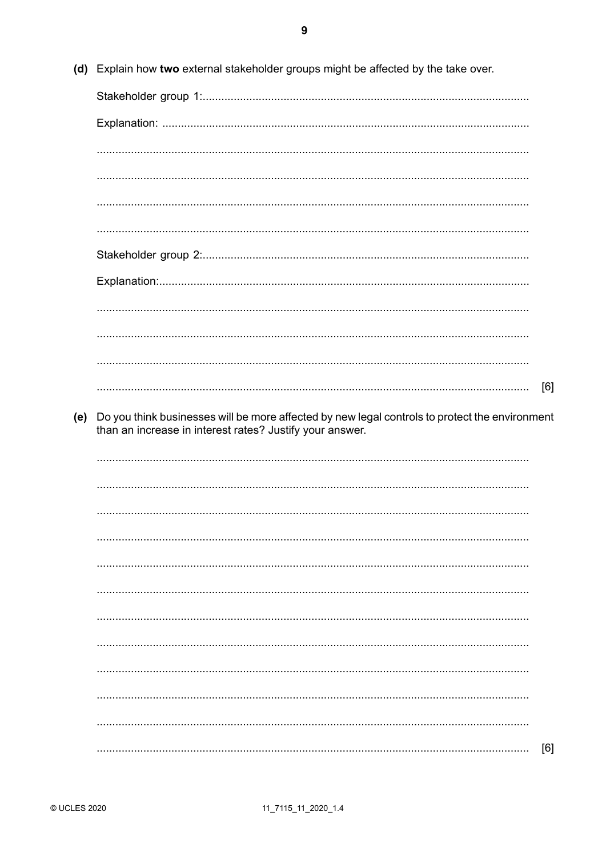| (d) Explain how two external stakeholder groups might be affected by the take over.            |
|------------------------------------------------------------------------------------------------|
|                                                                                                |
|                                                                                                |
|                                                                                                |
|                                                                                                |
|                                                                                                |
|                                                                                                |
|                                                                                                |
|                                                                                                |
|                                                                                                |
|                                                                                                |
|                                                                                                |
|                                                                                                |
|                                                                                                |
|                                                                                                |
| than an increase in interest rates? Justify your answer.                                       |
|                                                                                                |
| Do you think businesses will be more affected by new legal controls to protect the environment |
|                                                                                                |
|                                                                                                |
|                                                                                                |
|                                                                                                |
|                                                                                                |
|                                                                                                |
|                                                                                                |
|                                                                                                |
|                                                                                                |
|                                                                                                |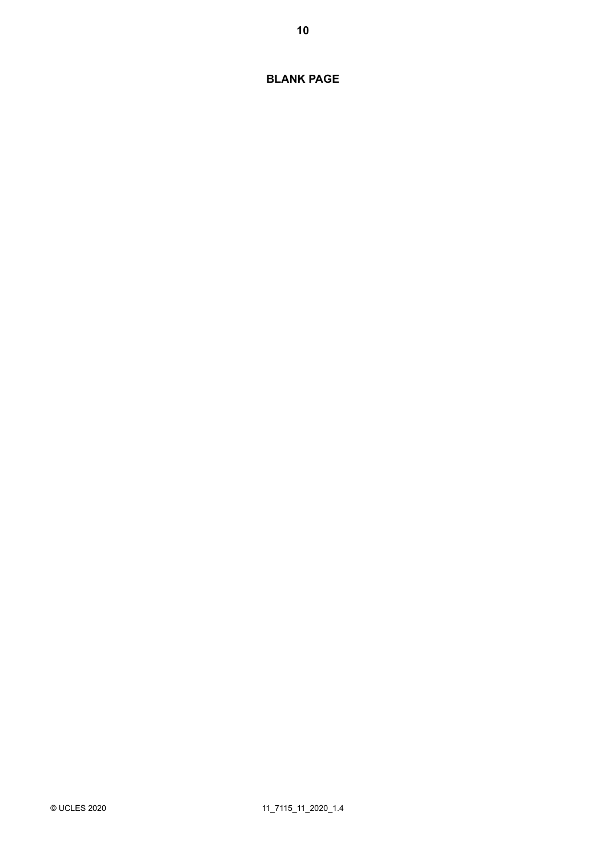## **BLANK PAGE**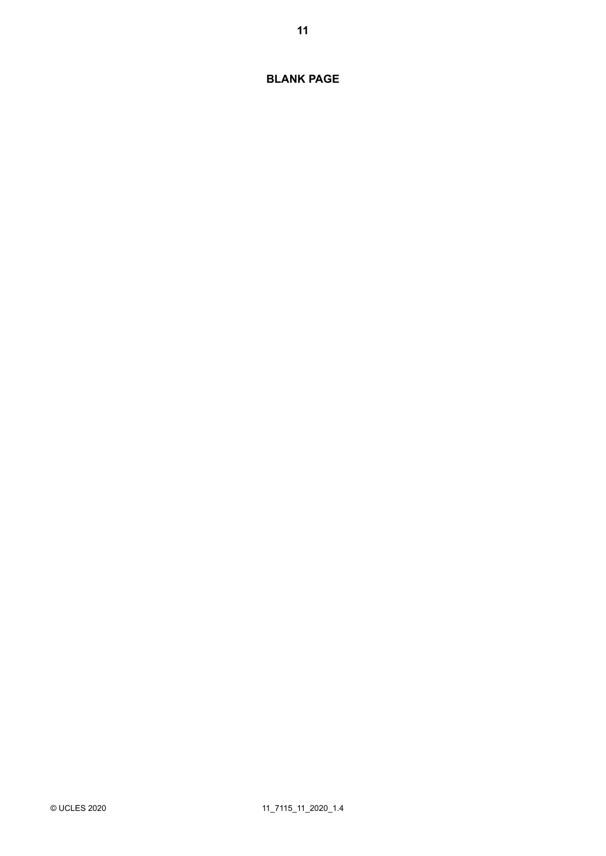# **BLANK PAGE**